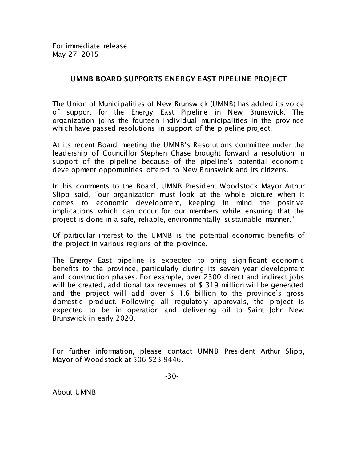For immediate release May 27, 2015

## UMNB BOARD SUPPORTS ENERGY EAST PIPELINE PROJECT

The Union of Municipalities of New Brunswick (UMNB) has added its voice of support for the Energy East Pipeline in New Brunswick. The organization joins the fourteen individual municipalities in the province which have passed resolutions in support of the pipeline project.

At its recent Board meeting the UMNB's Resolutions committee under the leadership of Councillor Stephen Chase brought forward a resolution in support of the pipeline because of the pipeline's potential economic development opportunities offered to New Brunswick and its citizens.

In his comments to the Board, UMNB President Woodstock Mayor Arthur Slipp said, "our organization must look at the whole picture when it comes to economic development, keeping in mind the positive implications which can occur for our members while ensuring that the project is done in a safe, reliable, environmentally sustainable manner."

Of particular interest to the UMNB is the potential economic benefits of the project in various regions of the province.

The Energy East pipeline is expected to bring significant economic benefits to the province, particularly during its seven year development and construction phases. For example, over 2300 direct and indirect jobs will be created, additional tax revenues of \$ 319 million will be generated and the project will add over \$ 1.6 billion to the province's gross domestic product. Following all regulatory approvals, the project is expected to be in operation and delivering oil to Saint John New Brunswick in early 2020.

For further information, please contact UMNB President Arthur Slipp, Mayor of Woodstock at 506 523 9446.

About UMNB